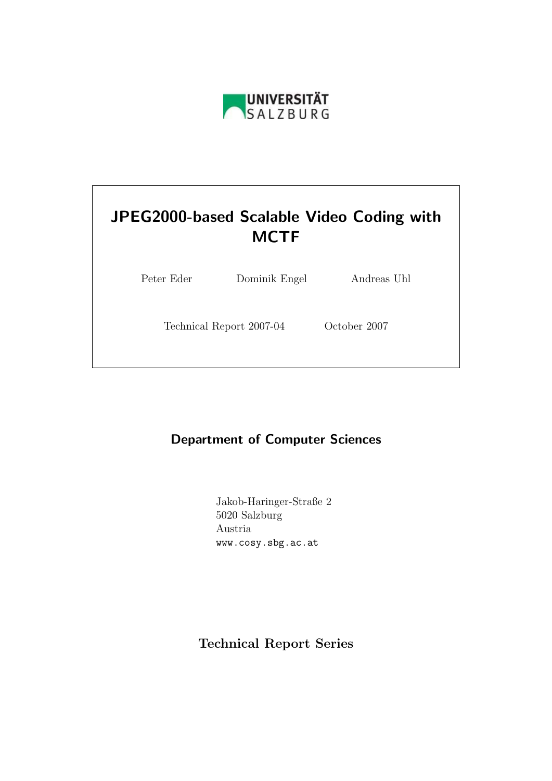

# JPEG2000-based Scalable Video Coding with **MCTF**

Peter Eder Dominik Engel Andreas Uhl

Technical Report 2007-04 October 2007

# Department of Computer Sciences

Jakob-Haringer-Straße 2 5020 Salzburg Austria www.cosy.sbg.ac.at

Technical Report Series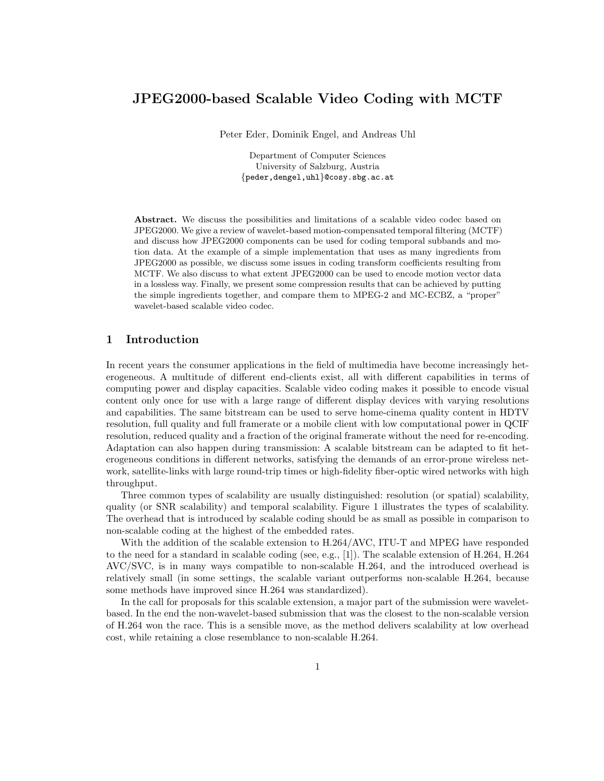# JPEG2000-based Scalable Video Coding with MCTF

Peter Eder, Dominik Engel, and Andreas Uhl

Department of Computer Sciences University of Salzburg, Austria {peder,dengel,uhl}@cosy.sbg.ac.at

Abstract. We discuss the possibilities and limitations of a scalable video codec based on JPEG2000. We give a review of wavelet-based motion-compensated temporal filtering (MCTF) and discuss how JPEG2000 components can be used for coding temporal subbands and motion data. At the example of a simple implementation that uses as many ingredients from JPEG2000 as possible, we discuss some issues in coding transform coefficients resulting from MCTF. We also discuss to what extent JPEG2000 can be used to encode motion vector data in a lossless way. Finally, we present some compression results that can be achieved by putting the simple ingredients together, and compare them to MPEG-2 and MC-ECBZ, a "proper" wavelet-based scalable video codec.

### 1 Introduction

In recent years the consumer applications in the field of multimedia have become increasingly heterogeneous. A multitude of different end-clients exist, all with different capabilities in terms of computing power and display capacities. Scalable video coding makes it possible to encode visual content only once for use with a large range of different display devices with varying resolutions and capabilities. The same bitstream can be used to serve home-cinema quality content in HDTV resolution, full quality and full framerate or a mobile client with low computational power in QCIF resolution, reduced quality and a fraction of the original framerate without the need for re-encoding. Adaptation can also happen during transmission: A scalable bitstream can be adapted to fit heterogeneous conditions in different networks, satisfying the demands of an error-prone wireless network, satellite-links with large round-trip times or high-fidelity fiber-optic wired networks with high throughput.

Three common types of scalability are usually distinguished: resolution (or spatial) scalability, quality (or SNR scalability) and temporal scalability. Figure 1 illustrates the types of scalability. The overhead that is introduced by scalable coding should be as small as possible in comparison to non-scalable coding at the highest of the embedded rates.

With the addition of the scalable extension to H.264/AVC, ITU-T and MPEG have responded to the need for a standard in scalable coding (see, e.g., [1]). The scalable extension of H.264, H.264 AVC/SVC, is in many ways compatible to non-scalable H.264, and the introduced overhead is relatively small (in some settings, the scalable variant outperforms non-scalable H.264, because some methods have improved since H.264 was standardized).

In the call for proposals for this scalable extension, a major part of the submission were waveletbased. In the end the non-wavelet-based submission that was the closest to the non-scalable version of H.264 won the race. This is a sensible move, as the method delivers scalability at low overhead cost, while retaining a close resemblance to non-scalable H.264.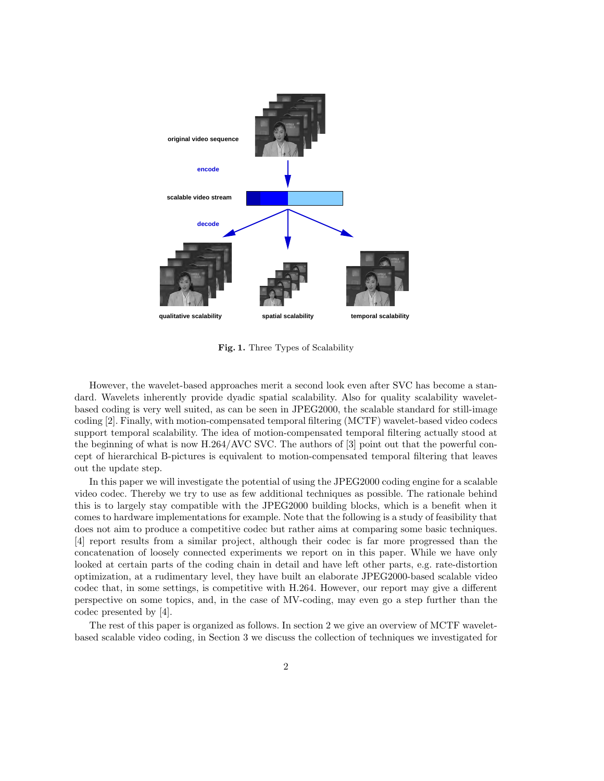

Fig. 1. Three Types of Scalability

However, the wavelet-based approaches merit a second look even after SVC has become a standard. Wavelets inherently provide dyadic spatial scalability. Also for quality scalability waveletbased coding is very well suited, as can be seen in JPEG2000, the scalable standard for still-image coding [2]. Finally, with motion-compensated temporal filtering (MCTF) wavelet-based video codecs support temporal scalability. The idea of motion-compensated temporal filtering actually stood at the beginning of what is now H.264/AVC SVC. The authors of [3] point out that the powerful concept of hierarchical B-pictures is equivalent to motion-compensated temporal filtering that leaves out the update step.

In this paper we will investigate the potential of using the JPEG2000 coding engine for a scalable video codec. Thereby we try to use as few additional techniques as possible. The rationale behind this is to largely stay compatible with the JPEG2000 building blocks, which is a benefit when it comes to hardware implementations for example. Note that the following is a study of feasibility that does not aim to produce a competitive codec but rather aims at comparing some basic techniques. [4] report results from a similar project, although their codec is far more progressed than the concatenation of loosely connected experiments we report on in this paper. While we have only looked at certain parts of the coding chain in detail and have left other parts, e.g. rate-distortion optimization, at a rudimentary level, they have built an elaborate JPEG2000-based scalable video codec that, in some settings, is competitive with H.264. However, our report may give a different perspective on some topics, and, in the case of MV-coding, may even go a step further than the codec presented by [4].

The rest of this paper is organized as follows. In section 2 we give an overview of MCTF waveletbased scalable video coding, in Section 3 we discuss the collection of techniques we investigated for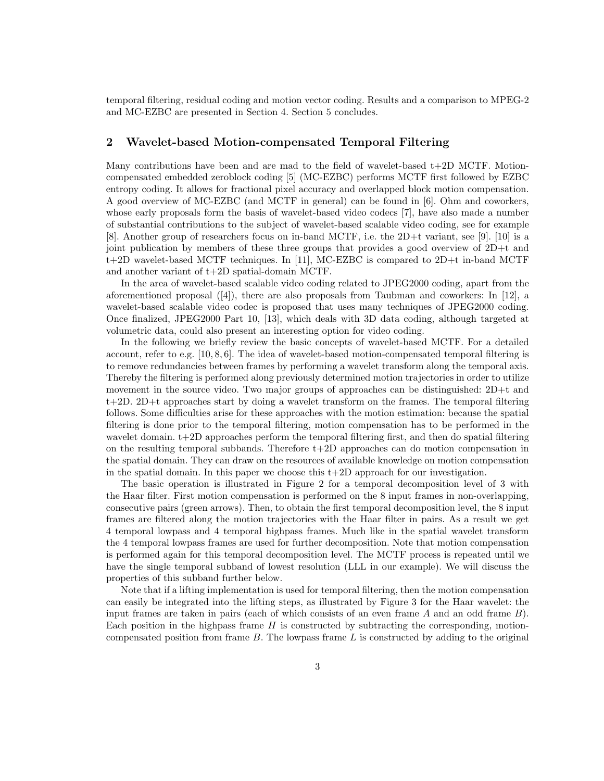temporal filtering, residual coding and motion vector coding. Results and a comparison to MPEG-2 and MC-EZBC are presented in Section 4. Section 5 concludes.

# 2 Wavelet-based Motion-compensated Temporal Filtering

Many contributions have been and are mad to the field of wavelet-based  $t+2D$  MCTF. Motioncompensated embedded zeroblock coding [5] (MC-EZBC) performs MCTF first followed by EZBC entropy coding. It allows for fractional pixel accuracy and overlapped block motion compensation. A good overview of MC-EZBC (and MCTF in general) can be found in [6]. Ohm and coworkers, whose early proposals form the basis of wavelet-based video codecs [7], have also made a number of substantial contributions to the subject of wavelet-based scalable video coding, see for example [8]. Another group of researchers focus on in-band MCTF, i.e. the 2D+t variant, see [9]. [10] is a joint publication by members of these three groups that provides a good overview of 2D+t and t+2D wavelet-based MCTF techniques. In [11], MC-EZBC is compared to 2D+t in-band MCTF and another variant of t+2D spatial-domain MCTF.

In the area of wavelet-based scalable video coding related to JPEG2000 coding, apart from the aforementioned proposal  $([4])$ , there are also proposals from Taubman and coworkers: In [12], a wavelet-based scalable video codec is proposed that uses many techniques of JPEG2000 coding. Once finalized, JPEG2000 Part 10, [13], which deals with 3D data coding, although targeted at volumetric data, could also present an interesting option for video coding.

In the following we briefly review the basic concepts of wavelet-based MCTF. For a detailed account, refer to e.g. [10, 8, 6]. The idea of wavelet-based motion-compensated temporal filtering is to remove redundancies between frames by performing a wavelet transform along the temporal axis. Thereby the filtering is performed along previously determined motion trajectories in order to utilize movement in the source video. Two major groups of approaches can be distinguished: 2D+t and t+2D. 2D+t approaches start by doing a wavelet transform on the frames. The temporal filtering follows. Some difficulties arise for these approaches with the motion estimation: because the spatial filtering is done prior to the temporal filtering, motion compensation has to be performed in the wavelet domain. t+2D approaches perform the temporal filtering first, and then do spatial filtering on the resulting temporal subbands. Therefore  $t+2D$  approaches can do motion compensation in the spatial domain. They can draw on the resources of available knowledge on motion compensation in the spatial domain. In this paper we choose this  $t+2D$  approach for our investigation.

The basic operation is illustrated in Figure 2 for a temporal decomposition level of 3 with the Haar filter. First motion compensation is performed on the 8 input frames in non-overlapping, consecutive pairs (green arrows). Then, to obtain the first temporal decomposition level, the 8 input frames are filtered along the motion trajectories with the Haar filter in pairs. As a result we get 4 temporal lowpass and 4 temporal highpass frames. Much like in the spatial wavelet transform the 4 temporal lowpass frames are used for further decomposition. Note that motion compensation is performed again for this temporal decomposition level. The MCTF process is repeated until we have the single temporal subband of lowest resolution (LLL in our example). We will discuss the properties of this subband further below.

Note that if a lifting implementation is used for temporal filtering, then the motion compensation can easily be integrated into the lifting steps, as illustrated by Figure 3 for the Haar wavelet: the input frames are taken in pairs (each of which consists of an even frame A and an odd frame B). Each position in the highpass frame  $H$  is constructed by subtracting the corresponding, motioncompensated position from frame  $B$ . The lowpass frame  $L$  is constructed by adding to the original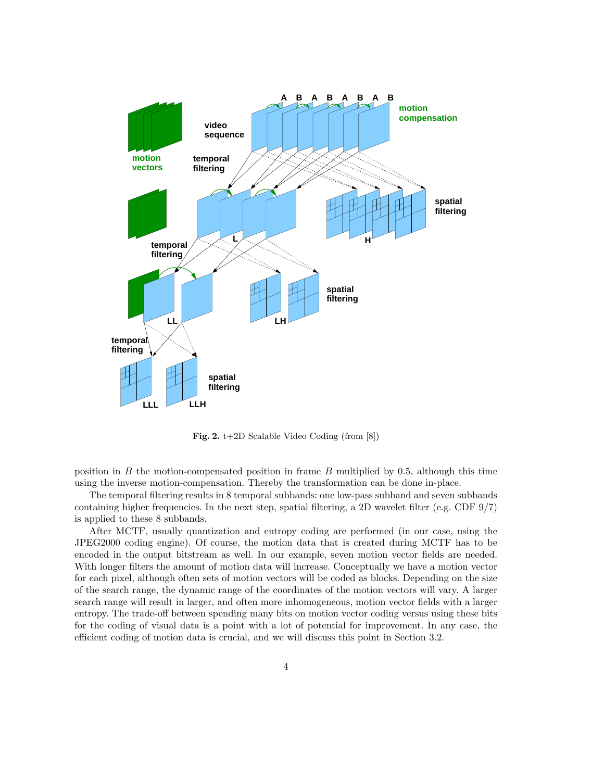

Fig. 2. t+2D Scalable Video Coding (from [8])

position in  $B$  the motion-compensated position in frame  $B$  multiplied by 0.5, although this time using the inverse motion-compensation. Thereby the transformation can be done in-place.

The temporal filtering results in 8 temporal subbands: one low-pass subband and seven subbands containing higher frequencies. In the next step, spatial filtering, a 2D wavelet filter (e.g. CDF 9/7) is applied to these 8 subbands.

After MCTF, usually quantization and entropy coding are performed (in our case, using the JPEG2000 coding engine). Of course, the motion data that is created during MCTF has to be encoded in the output bitstream as well. In our example, seven motion vector fields are needed. With longer filters the amount of motion data will increase. Conceptually we have a motion vector for each pixel, although often sets of motion vectors will be coded as blocks. Depending on the size of the search range, the dynamic range of the coordinates of the motion vectors will vary. A larger search range will result in larger, and often more inhomogeneous, motion vector fields with a larger entropy. The trade-off between spending many bits on motion vector coding versus using these bits for the coding of visual data is a point with a lot of potential for improvement. In any case, the efficient coding of motion data is crucial, and we will discuss this point in Section 3.2.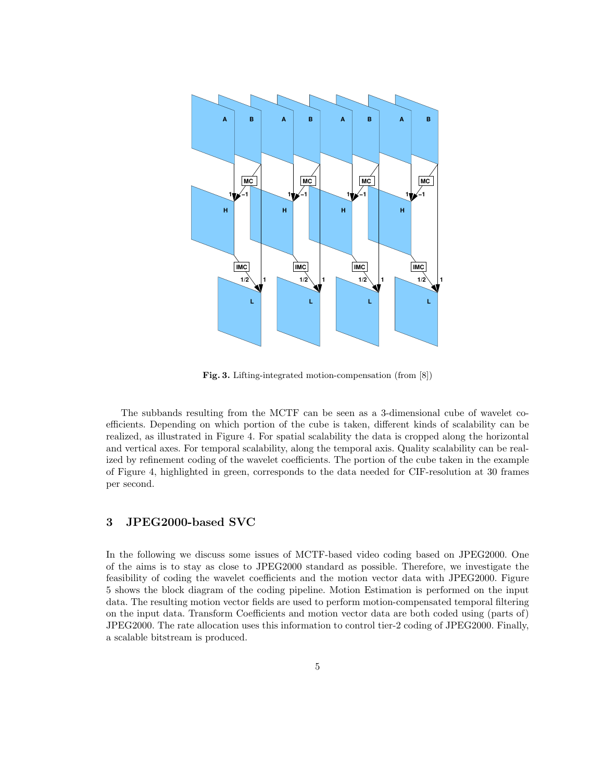

Fig. 3. Lifting-integrated motion-compensation (from [8])

The subbands resulting from the MCTF can be seen as a 3-dimensional cube of wavelet coefficients. Depending on which portion of the cube is taken, different kinds of scalability can be realized, as illustrated in Figure 4. For spatial scalability the data is cropped along the horizontal and vertical axes. For temporal scalability, along the temporal axis. Quality scalability can be realized by refinement coding of the wavelet coefficients. The portion of the cube taken in the example of Figure 4, highlighted in green, corresponds to the data needed for CIF-resolution at 30 frames per second.

## 3 JPEG2000-based SVC

In the following we discuss some issues of MCTF-based video coding based on JPEG2000. One of the aims is to stay as close to JPEG2000 standard as possible. Therefore, we investigate the feasibility of coding the wavelet coefficients and the motion vector data with JPEG2000. Figure 5 shows the block diagram of the coding pipeline. Motion Estimation is performed on the input data. The resulting motion vector fields are used to perform motion-compensated temporal filtering on the input data. Transform Coefficients and motion vector data are both coded using (parts of) JPEG2000. The rate allocation uses this information to control tier-2 coding of JPEG2000. Finally, a scalable bitstream is produced.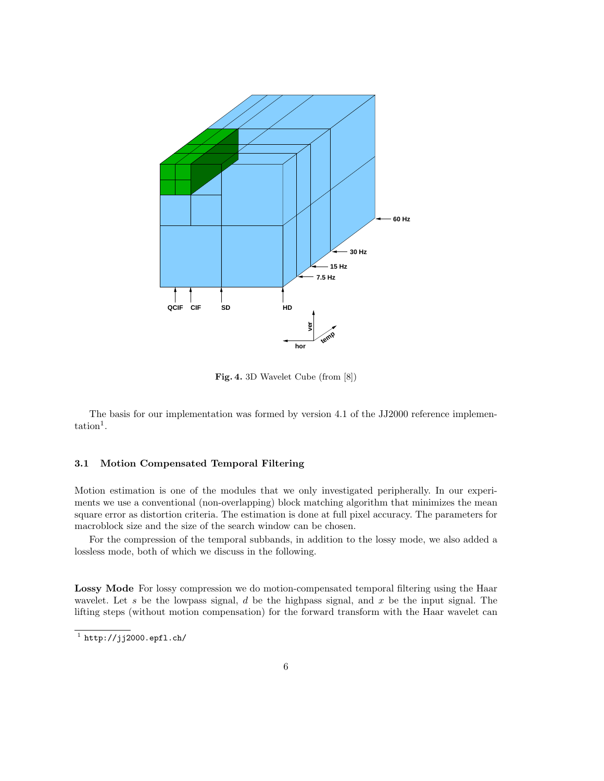

Fig. 4. 3D Wavelet Cube (from [8])

The basis for our implementation was formed by version 4.1 of the JJ2000 reference implemen- $\text{tation}^1$ .

#### 3.1 Motion Compensated Temporal Filtering

Motion estimation is one of the modules that we only investigated peripherally. In our experiments we use a conventional (non-overlapping) block matching algorithm that minimizes the mean square error as distortion criteria. The estimation is done at full pixel accuracy. The parameters for macroblock size and the size of the search window can be chosen.

For the compression of the temporal subbands, in addition to the lossy mode, we also added a lossless mode, both of which we discuss in the following.

Lossy Mode For lossy compression we do motion-compensated temporal filtering using the Haar wavelet. Let s be the lowpass signal, d be the highpass signal, and  $x$  be the input signal. The lifting steps (without motion compensation) for the forward transform with the Haar wavelet can

 $^1$  http://jj2000.epfl.ch/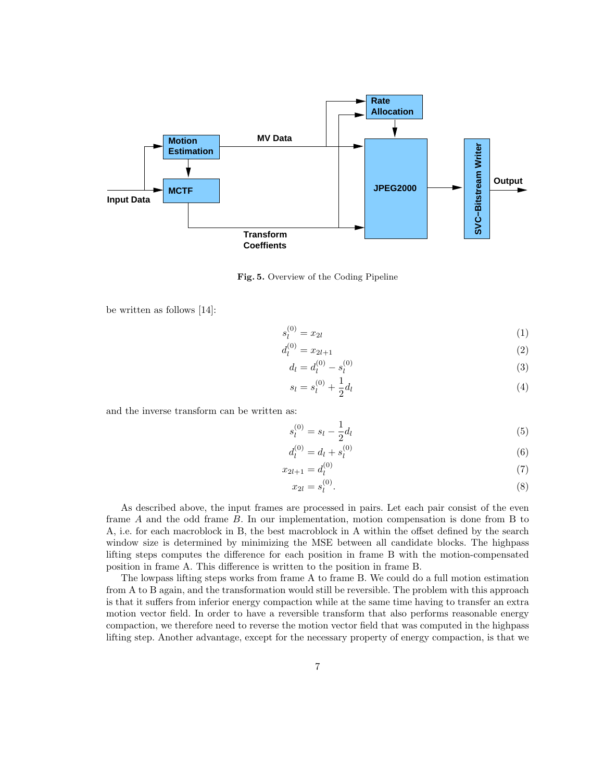

Fig. 5. Overview of the Coding Pipeline

be written as follows [14]:

$$
s_l^{(0)} = x_{2l} \tag{1}
$$

$$
d_l^{(0)} = x_{2l+1} \tag{2}
$$

$$
d_l = d_l^{(0)} - s_l^{(0)} \tag{3}
$$

$$
s_l = s_l^{(0)} + \frac{1}{2}d_l \tag{4}
$$

and the inverse transform can be written as:

$$
s_l^{(0)} = s_l - \frac{1}{2} d_l \tag{5}
$$

$$
d_l^{(0)} = d_l + s_l^{(0)}\tag{6}
$$

$$
x_{2l+1} = d_l^{(0)} \tag{7}
$$

$$
x_{2l} = s_l^{(0)}.\t\t(8)
$$

As described above, the input frames are processed in pairs. Let each pair consist of the even frame A and the odd frame B. In our implementation, motion compensation is done from B to A, i.e. for each macroblock in B, the best macroblock in A within the offset defined by the search window size is determined by minimizing the MSE between all candidate blocks. The highpass lifting steps computes the difference for each position in frame B with the motion-compensated position in frame A. This difference is written to the position in frame B.

The lowpass lifting steps works from frame A to frame B. We could do a full motion estimation from A to B again, and the transformation would still be reversible. The problem with this approach is that it suffers from inferior energy compaction while at the same time having to transfer an extra motion vector field. In order to have a reversible transform that also performs reasonable energy compaction, we therefore need to reverse the motion vector field that was computed in the highpass lifting step. Another advantage, except for the necessary property of energy compaction, is that we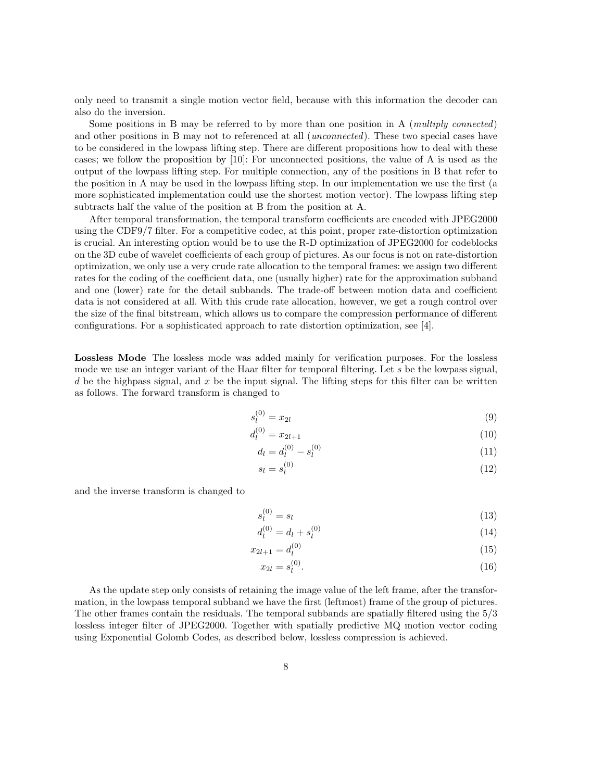only need to transmit a single motion vector field, because with this information the decoder can also do the inversion.

Some positions in B may be referred to by more than one position in A (multiply connected) and other positions in B may not to referenced at all *(unconnected)*. These two special cases have to be considered in the lowpass lifting step. There are different propositions how to deal with these cases; we follow the proposition by [10]: For unconnected positions, the value of A is used as the output of the lowpass lifting step. For multiple connection, any of the positions in B that refer to the position in A may be used in the lowpass lifting step. In our implementation we use the first (a more sophisticated implementation could use the shortest motion vector). The lowpass lifting step subtracts half the value of the position at B from the position at A.

After temporal transformation, the temporal transform coefficients are encoded with JPEG2000 using the CDF9/7 filter. For a competitive codec, at this point, proper rate-distortion optimization is crucial. An interesting option would be to use the R-D optimization of JPEG2000 for codeblocks on the 3D cube of wavelet coefficients of each group of pictures. As our focus is not on rate-distortion optimization, we only use a very crude rate allocation to the temporal frames: we assign two different rates for the coding of the coefficient data, one (usually higher) rate for the approximation subband and one (lower) rate for the detail subbands. The trade-off between motion data and coefficient data is not considered at all. With this crude rate allocation, however, we get a rough control over the size of the final bitstream, which allows us to compare the compression performance of different configurations. For a sophisticated approach to rate distortion optimization, see [4].

Lossless Mode The lossless mode was added mainly for verification purposes. For the lossless mode we use an integer variant of the Haar filter for temporal filtering. Let s be the lowpass signal, d be the highpass signal, and x be the input signal. The lifting steps for this filter can be written as follows. The forward transform is changed to

$$
s_l^{(0)} = x_{2l} \tag{9}
$$

$$
d_l^{(0)} = x_{2l+1} \tag{10}
$$

$$
d_l = d_l^{(0)} - s_l^{(0)} \tag{11}
$$

$$
s_l = s_l^{(0)} \tag{12}
$$

and the inverse transform is changed to

$$
s_l^{(0)} = s_l \tag{13}
$$

$$
d_l^{(0)} = d_l + s_l^{(0)} \tag{14}
$$

$$
x_{2l+1} = d_l^{(0)} \tag{15}
$$

$$
x_{2l} = s_l^{(0)}.
$$
\n(16)

As the update step only consists of retaining the image value of the left frame, after the transformation, in the lowpass temporal subband we have the first (leftmost) frame of the group of pictures. The other frames contain the residuals. The temporal subbands are spatially filtered using the 5/3 lossless integer filter of JPEG2000. Together with spatially predictive MQ motion vector coding using Exponential Golomb Codes, as described below, lossless compression is achieved.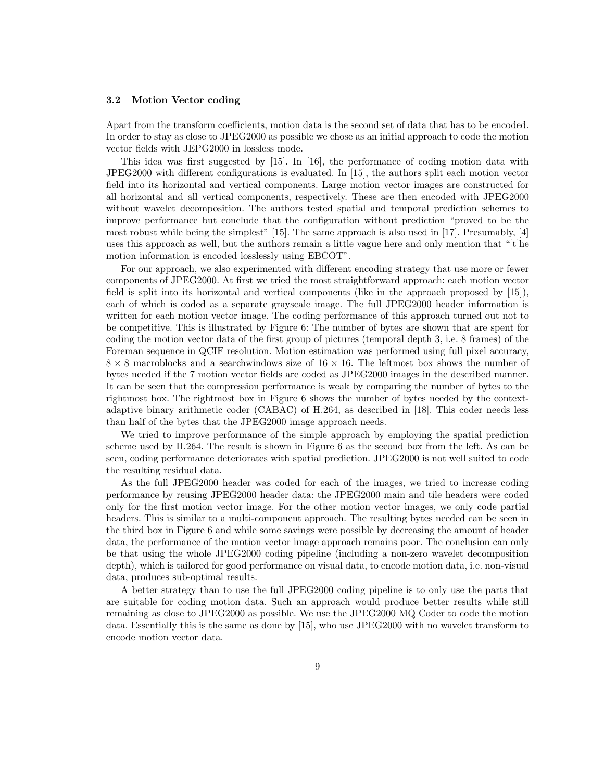#### 3.2 Motion Vector coding

Apart from the transform coefficients, motion data is the second set of data that has to be encoded. In order to stay as close to JPEG2000 as possible we chose as an initial approach to code the motion vector fields with JEPG2000 in lossless mode.

This idea was first suggested by [15]. In [16], the performance of coding motion data with JPEG2000 with different configurations is evaluated. In [15], the authors split each motion vector field into its horizontal and vertical components. Large motion vector images are constructed for all horizontal and all vertical components, respectively. These are then encoded with JPEG2000 without wavelet decomposition. The authors tested spatial and temporal prediction schemes to improve performance but conclude that the configuration without prediction "proved to be the most robust while being the simplest" [15]. The same approach is also used in [17]. Presumably, [4] uses this approach as well, but the authors remain a little vague here and only mention that "[t]he motion information is encoded losslessly using EBCOT".

For our approach, we also experimented with different encoding strategy that use more or fewer components of JPEG2000. At first we tried the most straightforward approach: each motion vector field is split into its horizontal and vertical components (like in the approach proposed by [15]), each of which is coded as a separate grayscale image. The full JPEG2000 header information is written for each motion vector image. The coding performance of this approach turned out not to be competitive. This is illustrated by Figure 6: The number of bytes are shown that are spent for coding the motion vector data of the first group of pictures (temporal depth 3, i.e. 8 frames) of the Foreman sequence in QCIF resolution. Motion estimation was performed using full pixel accuracy,  $8 \times 8$  macroblocks and a searchwindows size of  $16 \times 16$ . The leftmost box shows the number of bytes needed if the 7 motion vector fields are coded as JPEG2000 images in the described manner. It can be seen that the compression performance is weak by comparing the number of bytes to the rightmost box. The rightmost box in Figure 6 shows the number of bytes needed by the contextadaptive binary arithmetic coder (CABAC) of H.264, as described in [18]. This coder needs less than half of the bytes that the JPEG2000 image approach needs.

We tried to improve performance of the simple approach by employing the spatial prediction scheme used by H.264. The result is shown in Figure 6 as the second box from the left. As can be seen, coding performance deteriorates with spatial prediction. JPEG2000 is not well suited to code the resulting residual data.

As the full JPEG2000 header was coded for each of the images, we tried to increase coding performance by reusing JPEG2000 header data: the JPEG2000 main and tile headers were coded only for the first motion vector image. For the other motion vector images, we only code partial headers. This is similar to a multi-component approach. The resulting bytes needed can be seen in the third box in Figure 6 and while some savings were possible by decreasing the amount of header data, the performance of the motion vector image approach remains poor. The conclusion can only be that using the whole JPEG2000 coding pipeline (including a non-zero wavelet decomposition depth), which is tailored for good performance on visual data, to encode motion data, i.e. non-visual data, produces sub-optimal results.

A better strategy than to use the full JPEG2000 coding pipeline is to only use the parts that are suitable for coding motion data. Such an approach would produce better results while still remaining as close to JPEG2000 as possible. We use the JPEG2000 MQ Coder to code the motion data. Essentially this is the same as done by [15], who use JPEG2000 with no wavelet transform to encode motion vector data.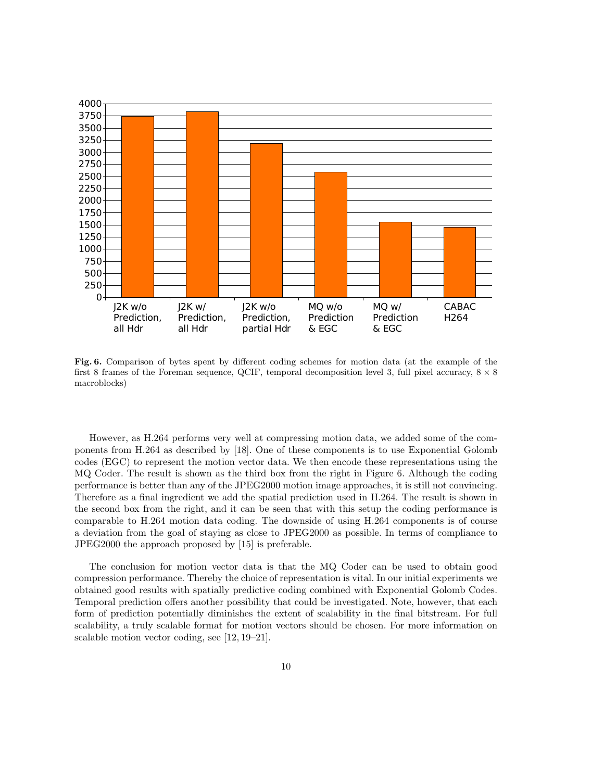

Fig. 6. Comparison of bytes spent by different coding schemes for motion data (at the example of the first 8 frames of the Foreman sequence, QCIF, temporal decomposition level 3, full pixel accuracy,  $8 \times 8$ macroblocks)

However, as H.264 performs very well at compressing motion data, we added some of the components from H.264 as described by [18]. One of these components is to use Exponential Golomb codes (EGC) to represent the motion vector data. We then encode these representations using the MQ Coder. The result is shown as the third box from the right in Figure 6. Although the coding performance is better than any of the JPEG2000 motion image approaches, it is still not convincing. Therefore as a final ingredient we add the spatial prediction used in H.264. The result is shown in the second box from the right, and it can be seen that with this setup the coding performance is comparable to H.264 motion data coding. The downside of using H.264 components is of course a deviation from the goal of staying as close to JPEG2000 as possible. In terms of compliance to JPEG2000 the approach proposed by [15] is preferable.

The conclusion for motion vector data is that the MQ Coder can be used to obtain good compression performance. Thereby the choice of representation is vital. In our initial experiments we obtained good results with spatially predictive coding combined with Exponential Golomb Codes. Temporal prediction offers another possibility that could be investigated. Note, however, that each form of prediction potentially diminishes the extent of scalability in the final bitstream. For full scalability, a truly scalable format for motion vectors should be chosen. For more information on scalable motion vector coding, see [12, 19–21].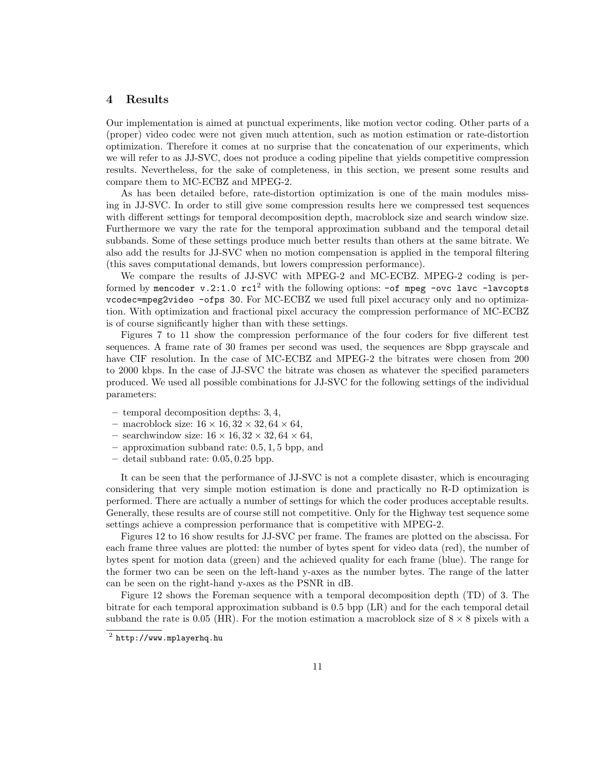#### 4 Results

Our implementation is aimed at punctual experiments, like motion vector coding. Other parts of a (proper) video codec were not given much attention, such as motion estimation or rate-distortion optimization. Therefore it comes at no surprise that the concatenation of our experiments, which we will refer to as JJ-SVC, does not produce a coding pipeline that yields competitive compression results. Nevertheless, for the sake of completeness, in this section, we present some results and compare them to MC-ECBZ and MPEG-2.

As has been detailed before, rate-distortion optimization is one of the main modules missing in JJ-SVC. In order to still give some compression results here we compressed test sequences with different settings for temporal decomposition depth, macroblock size and search window size. Furthermore we vary the rate for the temporal approximation subband and the temporal detail subbands. Some of these settings produce much better results than others at the same bitrate. We also add the results for JJ-SVC when no motion compensation is applied in the temporal filtering (this saves computational demands, but lowers compression performance).

We compare the results of JJ-SVC with MPEG-2 and MC-ECBZ. MPEG-2 coding is performed by mencoder  $v.2:1.0$  rc1<sup>2</sup> with the following options:  $-$ of mpeg  $-$ ovc lavc  $-$ lavcopts vcodec=mpeg2video -ofps 30. For MC-ECBZ we used full pixel accuracy only and no optimization. With optimization and fractional pixel accuracy the compression performance of MC-ECBZ is of course significantly higher than with these settings.

Figures 7 to 11 show the compression performance of the four coders for five different test sequences. A frame rate of 30 frames per second was used, the sequences are 8bpp grayscale and have CIF resolution. In the case of MC-ECBZ and MPEG-2 the bitrates were chosen from 200 to 2000 kbps. In the case of JJ-SVC the bitrate was chosen as whatever the specified parameters produced. We used all possible combinations for JJ-SVC for the following settings of the individual parameters:

- temporal decomposition depths: 3, 4,
- macroblock size:  $16 \times 16$ ,  $32 \times 32$ ,  $64 \times 64$ ,
- searchwindow size:  $16 \times 16$ ,  $32 \times 32$ ,  $64 \times 64$ ,
- approximation subband rate: 0.5, 1, 5 bpp, and
- detail subband rate: 0.05, 0.25 bpp.

It can be seen that the performance of JJ-SVC is not a complete disaster, which is encouraging considering that very simple motion estimation is done and practically no R-D optimization is performed. There are actually a number of settings for which the coder produces acceptable results. Generally, these results are of course still not competitive. Only for the Highway test sequence some settings achieve a compression performance that is competitive with MPEG-2.

Figures 12 to 16 show results for JJ-SVC per frame. The frames are plotted on the abscissa. For each frame three values are plotted: the number of bytes spent for video data (red), the number of bytes spent for motion data (green) and the achieved quality for each frame (blue). The range for the former two can be seen on the left-hand y-axes as the number bytes. The range of the latter can be seen on the right-hand y-axes as the PSNR in dB.

Figure 12 shows the Foreman sequence with a temporal decomposition depth (TD) of 3. The bitrate for each temporal approximation subband is 0.5 bpp (LR) and for the each temporal detail subband the rate is 0.05 (HR). For the motion estimation a macroblock size of  $8 \times 8$  pixels with a

 $^2$  http://www.mplayerhq.hu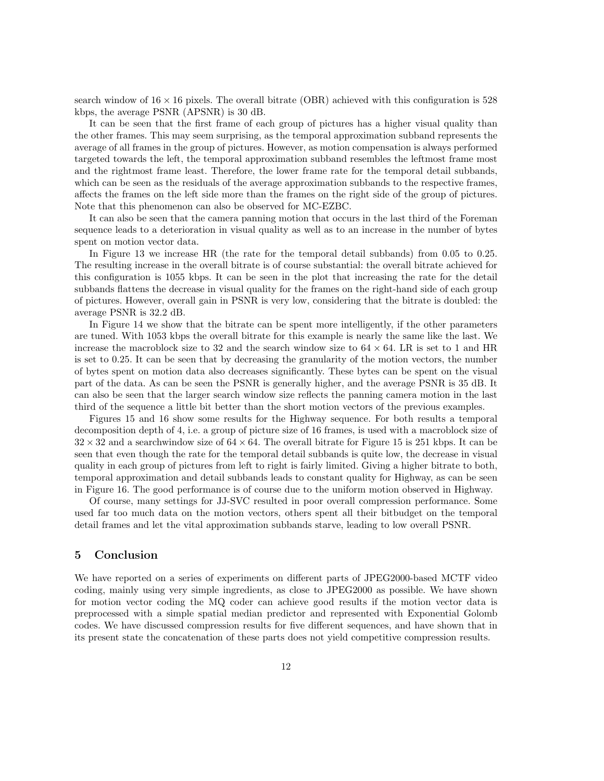search window of  $16 \times 16$  pixels. The overall bitrate (OBR) achieved with this configuration is 528 kbps, the average PSNR (APSNR) is 30 dB.

It can be seen that the first frame of each group of pictures has a higher visual quality than the other frames. This may seem surprising, as the temporal approximation subband represents the average of all frames in the group of pictures. However, as motion compensation is always performed targeted towards the left, the temporal approximation subband resembles the leftmost frame most and the rightmost frame least. Therefore, the lower frame rate for the temporal detail subbands, which can be seen as the residuals of the average approximation subbands to the respective frames, affects the frames on the left side more than the frames on the right side of the group of pictures. Note that this phenomenon can also be observed for MC-EZBC.

It can also be seen that the camera panning motion that occurs in the last third of the Foreman sequence leads to a deterioration in visual quality as well as to an increase in the number of bytes spent on motion vector data.

In Figure 13 we increase HR (the rate for the temporal detail subbands) from 0.05 to 0.25. The resulting increase in the overall bitrate is of course substantial: the overall bitrate achieved for this configuration is 1055 kbps. It can be seen in the plot that increasing the rate for the detail subbands flattens the decrease in visual quality for the frames on the right-hand side of each group of pictures. However, overall gain in PSNR is very low, considering that the bitrate is doubled: the average PSNR is 32.2 dB.

In Figure 14 we show that the bitrate can be spent more intelligently, if the other parameters are tuned. With 1053 kbps the overall bitrate for this example is nearly the same like the last. We increase the macroblock size to 32 and the search window size to  $64 \times 64$ . LR is set to 1 and HR is set to 0.25. It can be seen that by decreasing the granularity of the motion vectors, the number of bytes spent on motion data also decreases significantly. These bytes can be spent on the visual part of the data. As can be seen the PSNR is generally higher, and the average PSNR is 35 dB. It can also be seen that the larger search window size reflects the panning camera motion in the last third of the sequence a little bit better than the short motion vectors of the previous examples.

Figures 15 and 16 show some results for the Highway sequence. For both results a temporal decomposition depth of 4, i.e. a group of picture size of 16 frames, is used with a macroblock size of  $32 \times 32$  and a searchwindow size of  $64 \times 64$ . The overall bitrate for Figure 15 is 251 kbps. It can be seen that even though the rate for the temporal detail subbands is quite low, the decrease in visual quality in each group of pictures from left to right is fairly limited. Giving a higher bitrate to both, temporal approximation and detail subbands leads to constant quality for Highway, as can be seen in Figure 16. The good performance is of course due to the uniform motion observed in Highway.

Of course, many settings for JJ-SVC resulted in poor overall compression performance. Some used far too much data on the motion vectors, others spent all their bitbudget on the temporal detail frames and let the vital approximation subbands starve, leading to low overall PSNR.

#### 5 Conclusion

We have reported on a series of experiments on different parts of JPEG2000-based MCTF video coding, mainly using very simple ingredients, as close to JPEG2000 as possible. We have shown for motion vector coding the MQ coder can achieve good results if the motion vector data is preprocessed with a simple spatial median predictor and represented with Exponential Golomb codes. We have discussed compression results for five different sequences, and have shown that in its present state the concatenation of these parts does not yield competitive compression results.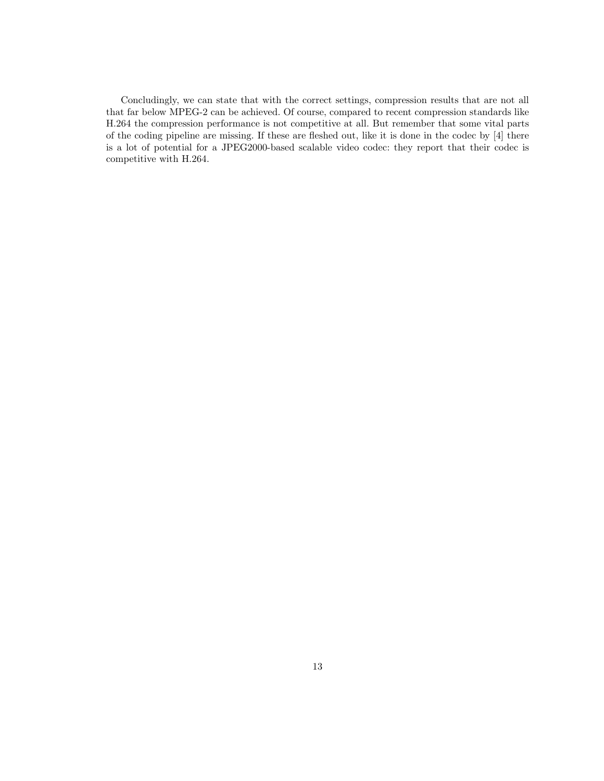Concludingly, we can state that with the correct settings, compression results that are not all that far below MPEG-2 can be achieved. Of course, compared to recent compression standards like H.264 the compression performance is not competitive at all. But remember that some vital parts of the coding pipeline are missing. If these are fleshed out, like it is done in the codec by [4] there is a lot of potential for a JPEG2000-based scalable video codec: they report that their codec is competitive with H.264.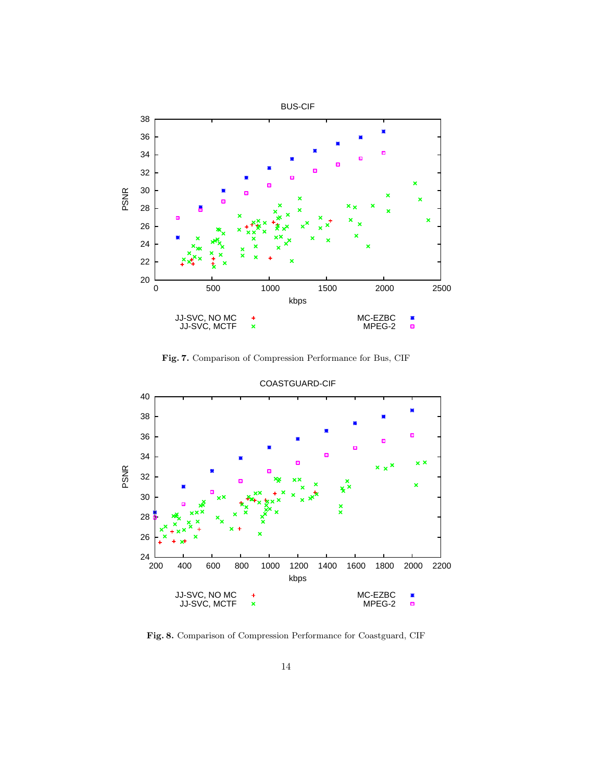

Fig. 7. Comparison of Compression Performance for Bus, CIF



Fig. 8. Comparison of Compression Performance for Coastguard, CIF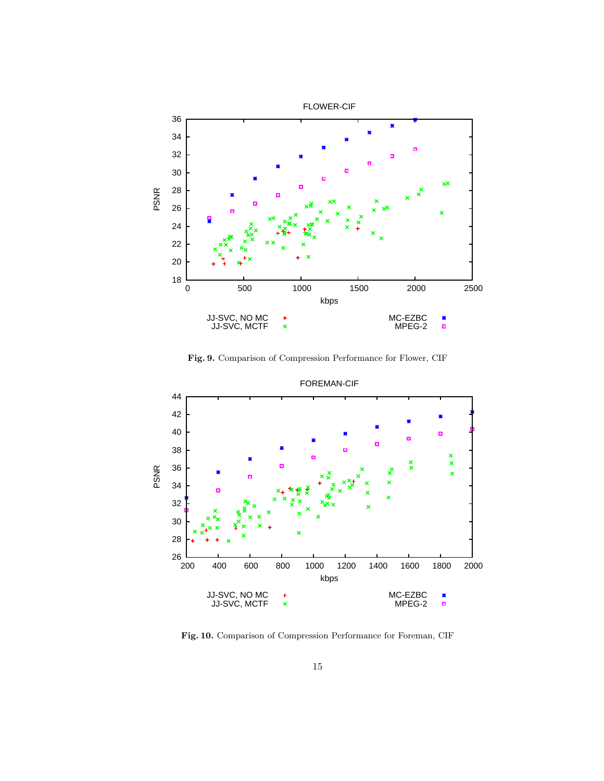

Fig. 9. Comparison of Compression Performance for Flower, CIF



Fig. 10. Comparison of Compression Performance for Foreman, CIF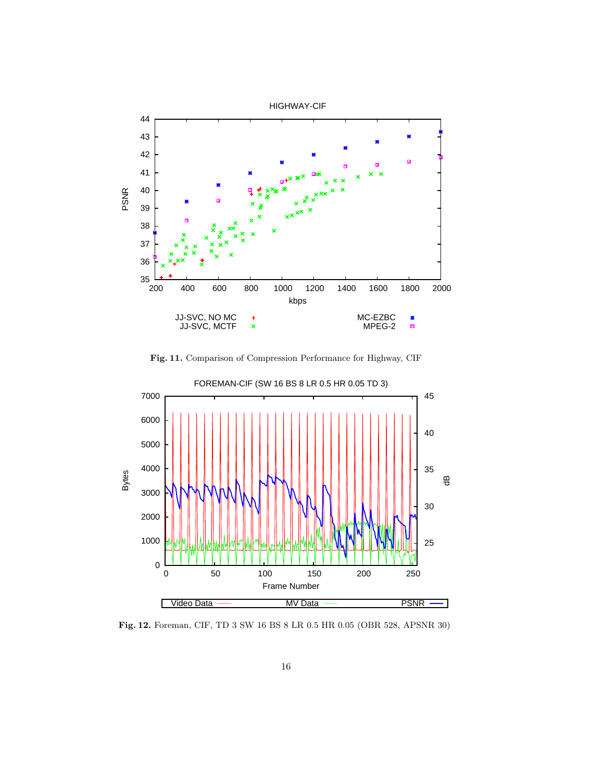

Fig. 11. Comparison of Compression Performance for Highway, CIF



Fig. 12. Foreman, CIF, TD 3 SW 16 BS 8 LR 0.5 HR 0.05 (OBR 528, APSNR 30)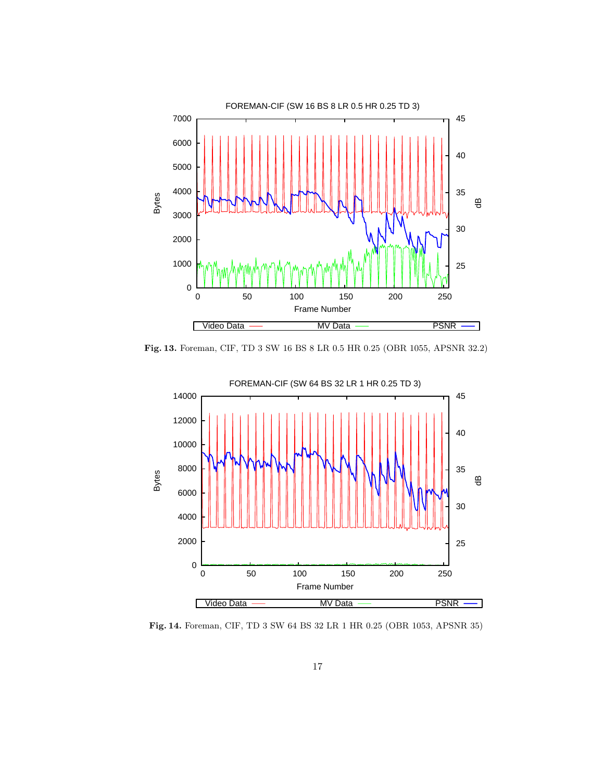

Fig. 13. Foreman, CIF, TD 3 SW 16 BS 8 LR 0.5 HR 0.25 (OBR 1055, APSNR 32.2)



Fig. 14. Foreman, CIF, TD 3 SW 64 BS 32 LR 1 HR 0.25 (OBR 1053, APSNR 35)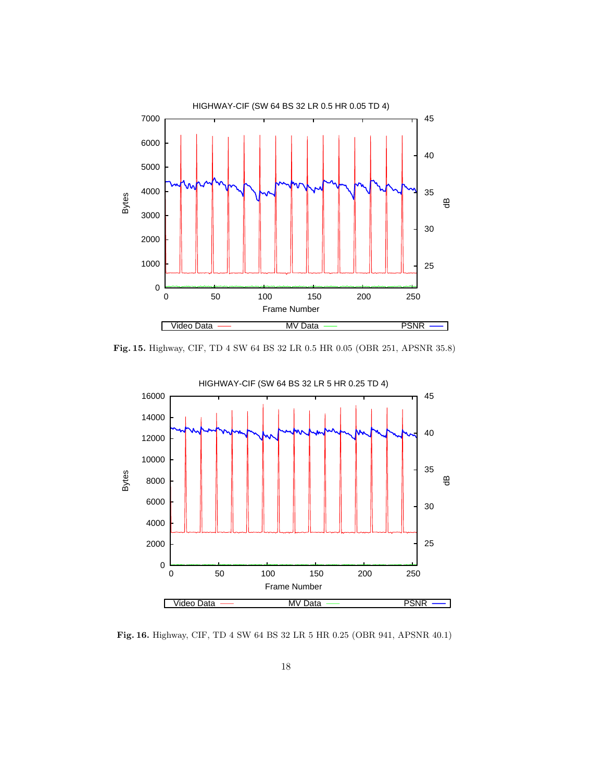

Fig. 15. Highway, CIF, TD 4 SW 64 BS 32 LR 0.5 HR 0.05 (OBR 251, APSNR 35.8)



Fig. 16. Highway, CIF, TD 4 SW 64 BS 32 LR 5 HR 0.25 (OBR 941, APSNR 40.1)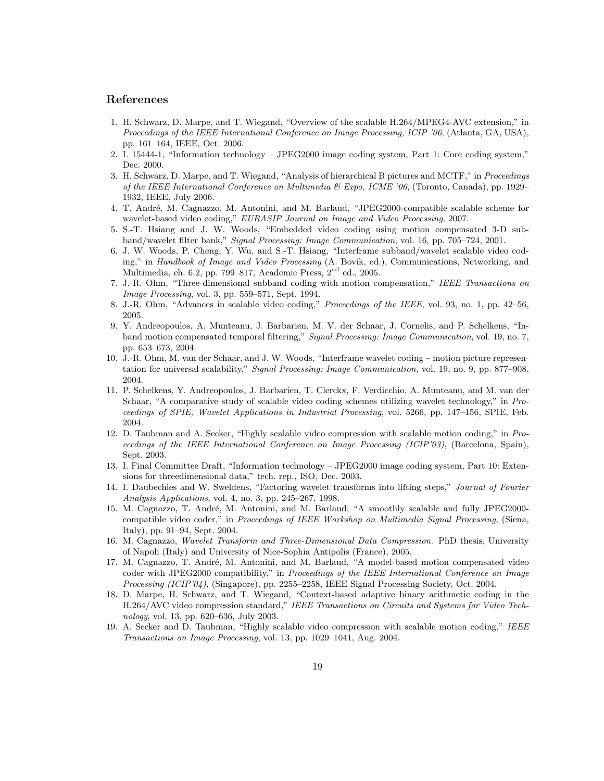#### References

- 1. H. Schwarz, D. Marpe, and T. Wiegand, "Overview of the scalable H.264/MPEG4-AVC extension," in Proceedings of the IEEE International Conference on Image Processing, ICIP '06, (Atlanta, GA, USA), pp. 161–164, IEEE, Oct. 2006.
- 2. I. 15444-1, "Information technology JPEG2000 image coding system, Part 1: Core coding system," Dec. 2000.
- 3. H. Schwarz, D. Marpe, and T. Wiegand, "Analysis of hierarchical B pictures and MCTF," in Proceedings of the IEEE International Conference on Multimedia  $\mathcal{B}$  Expo, ICME '06, (Toronto, Canada), pp. 1929– 1932, IEEE, July 2006.
- 4. T. Andr´e, M. Cagnazzo, M. Antonini, and M. Barlaud, "JPEG2000-compatible scalable scheme for wavelet-based video coding," EURASIP Journal on Image and Video Processing, 2007.
- 5. S.-T. Hsiang and J. W. Woods, "Embedded video coding using motion compensated 3-D subband/wavelet filter bank," Signal Processing: Image Communication, vol. 16, pp. 705–724, 2001.
- 6. J. W. Woods, P. Cheng, Y. Wu, and S.-T. Hsiang, "Interframe subband/wavelet scalable video coding," in Handbook of Image and Video Processing (A. Bovik, ed.), Communications, Networking, and Multimedia, ch. 6.2, pp. 799–817, Academic Press, 2nd ed., 2005.
- 7. J.-R. Ohm, "Three-dimensional subband coding with motion compensation," IEEE Transactions on Image Processing, vol. 3, pp. 559–571, Sept. 1994.
- 8. J.-R. Ohm, "Advances in scalable video coding," Proceedings of the IEEE, vol. 93, no. 1, pp. 42–56, 2005.
- 9. Y. Andreopoulos, A. Munteanu, J. Barbarien, M. V. der Schaar, J. Cornelis, and P. Schelkens, "Inband motion compensated temporal filtering," Signal Processing: Image Communication, vol. 19, no. 7, pp. 653–673, 2004.
- 10. J.-R. Ohm, M. van der Schaar, and J. W. Woods, "Interframe wavelet coding motion picture representation for universal scalability," Signal Processing: Image Communication, vol. 19, no. 9, pp. 877–908, 2004.
- 11. P. Schelkens, Y. Andreopoulos, J. Barbarien, T. Clerckx, F. Verdicchio, A. Munteanu, and M. van der Schaar, "A comparative study of scalable video coding schemes utilizing wavelet technology," in Proceedings of SPIE, Wavelet Applications in Industrial Processing, vol. 5266, pp. 147–156, SPIE, Feb. 2004.
- 12. D. Taubman and A. Secker, "Highly scalable video compression with scalable motion coding," in Proceedings of the IEEE International Conference on Image Processing (ICIP'03), (Barcelona, Spain), Sept. 2003.
- 13. I. Final Committee Draft, "Information technology JPEG2000 image coding system, Part 10: Extensions for threedimensional data," tech. rep., ISO, Dec. 2003.
- 14. I. Daubechies and W. Sweldens, "Factoring wavelet transforms into lifting steps," Journal of Fourier Analysis Applications, vol. 4, no. 3, pp. 245–267, 1998.
- 15. M. Cagnazzo, T. André, M. Antonini, and M. Barlaud, "A smoothly scalable and fully JPEG2000compatible video coder," in Proceedings of IEEE Workshop on Multimedia Signal Processing, (Siena, Italy), pp. 91–94, Sept. 2004.
- 16. M. Cagnazzo, Wavelet Transform and Three-Dimensional Data Compression. PhD thesis, University of Napoli (Italy) and University of Nice-Sophia Antipolis (France), 2005.
- 17. M. Cagnazzo, T. André, M. Antonini, and M. Barlaud, "A model-based motion compensated video coder with JPEG2000 compatibility," in Proceedings of the IEEE International Conference on Image Processing (ICIP'04), (Singapore), pp. 2255–2258, IEEE Signal Processing Society, Oct. 2004.
- 18. D. Marpe, H. Schwarz, and T. Wiegand, "Context-based adaptive binary arithmetic coding in the H.264/AVC video compression standard," IEEE Transactions on Circuits and Systems for Video Technology, vol. 13, pp. 620–636, July 2003.
- 19. A. Secker and D. Taubman, "Highly scalable video compression with scalable motion coding," IEEE Transactions on Image Processing, vol. 13, pp. 1029–1041, Aug. 2004.